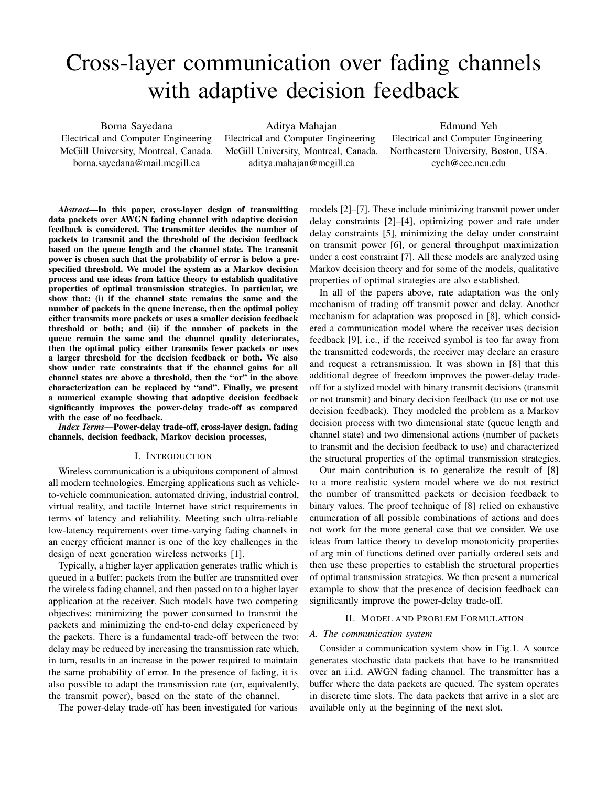# Cross-layer communication over fading channels with adaptive decision feedback

Borna Sayedana Electrical and Computer Engineering McGill University, Montreal, Canada. borna.sayedana@mail.mcgill.ca

Aditya Mahajan

Electrical and Computer Engineering McGill University, Montreal, Canada. aditya.mahajan@mcgill.ca

Edmund Yeh Electrical and Computer Engineering Northeastern University, Boston, USA. eyeh@ece.neu.edu

*Abstract*—In this paper, cross-layer design of transmitting data packets over AWGN fading channel with adaptive decision feedback is considered. The transmitter decides the number of packets to transmit and the threshold of the decision feedback based on the queue length and the channel state. The transmit power is chosen such that the probability of error is below a prespecified threshold. We model the system as a Markov decision process and use ideas from lattice theory to establish qualitative properties of optimal transmission strategies. In particular, we show that: (i) if the channel state remains the same and the number of packets in the queue increase, then the optimal policy either transmits more packets or uses a smaller decision feedback threshold or both; and (ii) if the number of packets in the queue remain the same and the channel quality deteriorates, then the optimal policy either transmits fewer packets or uses a larger threshold for the decision feedback or both. We also show under rate constraints that if the channel gains for all channel states are above a threshold, then the "or" in the above characterization can be replaced by "and". Finally, we present a numerical example showing that adaptive decision feedback significantly improves the power-delay trade-off as compared with the case of no feedback.

*Index Terms*—Power-delay trade-off, cross-layer design, fading channels, decision feedback, Markov decision processes,

#### I. INTRODUCTION

Wireless communication is a ubiquitous component of almost all modern technologies. Emerging applications such as vehicleto-vehicle communication, automated driving, industrial control, virtual reality, and tactile Internet have strict requirements in terms of latency and reliability. Meeting such ultra-reliable low-latency requirements over time-varying fading channels in an energy efficient manner is one of the key challenges in the design of next generation wireless networks [1].

Typically, a higher layer application generates traffic which is queued in a buffer; packets from the buffer are transmitted over the wireless fading channel, and then passed on to a higher layer application at the receiver. Such models have two competing objectives: minimizing the power consumed to transmit the packets and minimizing the end-to-end delay experienced by the packets. There is a fundamental trade-off between the two: delay may be reduced by increasing the transmission rate which, in turn, results in an increase in the power required to maintain the same probability of error. In the presence of fading, it is also possible to adapt the transmission rate (or, equivalently, the transmit power), based on the state of the channel.

The power-delay trade-off has been investigated for various

models [2]–[7]. These include minimizing transmit power under delay constraints [2]–[4], optimizing power and rate under delay constraints [5], minimizing the delay under constraint on transmit power [6], or general throughput maximization under a cost constraint [7]. All these models are analyzed using Markov decision theory and for some of the models, qualitative properties of optimal strategies are also established.

In all of the papers above, rate adaptation was the only mechanism of trading off transmit power and delay. Another mechanism for adaptation was proposed in [8], which considered a communication model where the receiver uses decision feedback [9], i.e., if the received symbol is too far away from the transmitted codewords, the receiver may declare an erasure and request a retransmission. It was shown in [8] that this additional degree of freedom improves the power-delay tradeoff for a stylized model with binary transmit decisions (transmit or not transmit) and binary decision feedback (to use or not use decision feedback). They modeled the problem as a Markov decision process with two dimensional state (queue length and channel state) and two dimensional actions (number of packets to transmit and the decision feedback to use) and characterized the structural properties of the optimal transmission strategies.

Our main contribution is to generalize the result of [8] to a more realistic system model where we do not restrict the number of transmitted packets or decision feedback to binary values. The proof technique of [8] relied on exhaustive enumeration of all possible combinations of actions and does not work for the more general case that we consider. We use ideas from lattice theory to develop monotonicity properties of arg min of functions defined over partially ordered sets and then use these properties to establish the structural properties of optimal transmission strategies. We then present a numerical example to show that the presence of decision feedback can significantly improve the power-delay trade-off.

## II. MODEL AND PROBLEM FORMULATION

# *A. The communication system*

Consider a communication system show in Fig.1. A source generates stochastic data packets that have to be transmitted over an i.i.d. AWGN fading channel. The transmitter has a buffer where the data packets are queued. The system operates in discrete time slots. The data packets that arrive in a slot are available only at the beginning of the next slot.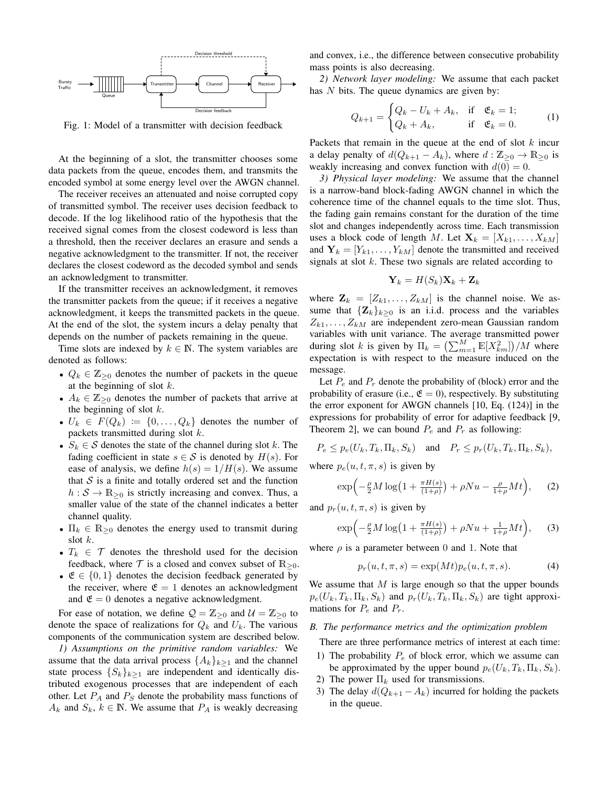

Fig. 1: Model of a transmitter with decision feedback

At the beginning of a slot, the transmitter chooses some data packets from the queue, encodes them, and transmits the encoded symbol at some energy level over the AWGN channel.

The receiver receives an attenuated and noise corrupted copy of transmitted symbol. The receiver uses decision feedback to decode. If the log likelihood ratio of the hypothesis that the received signal comes from the closest codeword is less than a threshold, then the receiver declares an erasure and sends a negative acknowledgment to the transmitter. If not, the receiver declares the closest codeword as the decoded symbol and sends an acknowledgment to transmitter.

If the transmitter receives an acknowledgment, it removes the transmitter packets from the queue; if it receives a negative acknowledgment, it keeps the transmitted packets in the queue. At the end of the slot, the system incurs a delay penalty that depends on the number of packets remaining in the queue.

Time slots are indexed by  $k \in \mathbb{N}$ . The system variables are denoted as follows:

- $Q_k \in \mathbb{Z}_{\geq 0}$  denotes the number of packets in the queue at the beginning of slot  $k$ .
- $A_k \in \mathbb{Z}_{\geq 0}$  denotes the number of packets that arrive at the beginning of slot  $k$ .
- $U_k \in F(Q_k) := \{0, \ldots, Q_k\}$  denotes the number of packets transmitted during slot  $k$ .
- $S_k \in \mathcal{S}$  denotes the state of the channel during slot k. The fading coefficient in state  $s \in S$  is denoted by  $H(s)$ . For ease of analysis, we define  $h(s) = 1/H(s)$ . We assume that  $S$  is a finite and totally ordered set and the function  $h : S \to \mathbb{R}_{\geq 0}$  is strictly increasing and convex. Thus, a smaller value of the state of the channel indicates a better channel quality.
- $\Pi_k \in \mathbb{R}_{\geq 0}$  denotes the energy used to transmit during slot k.
- $T_k \in \mathcal{T}$  denotes the threshold used for the decision feedback, where  $\mathcal T$  is a closed and convex subset of  $\mathbb{R}_{\geq 0}$ .
- $\mathfrak{E} \in \{0,1\}$  denotes the decision feedback generated by the receiver, where  $\mathfrak{E} = 1$  denotes an acknowledgment and  $\mathfrak{E} = 0$  denotes a negative acknowledgment.

For ease of notation, we define  $Q = \mathbb{Z}_{\geq 0}$  and  $\mathcal{U} = \mathbb{Z}_{\geq 0}$  to denote the space of realizations for  $Q_k$  and  $U_k$ . The various components of the communication system are described below.

*1) Assumptions on the primitive random variables:* We assume that the data arrival process  $\{A_k\}_{k>1}$  and the channel state process  $\{S_k\}_{k\geq 1}$  are independent and identically distributed exogenous processes that are independent of each other. Let  $P_A$  and  $P_S$  denote the probability mass functions of  $A_k$  and  $S_k$ ,  $k \in \mathbb{N}$ . We assume that  $P_A$  is weakly decreasing

and convex, i.e., the difference between consecutive probability mass points is also decreasing.

*2) Network layer modeling:* We assume that each packet has N bits. The queue dynamics are given by:

$$
Q_{k+1} = \begin{cases} Q_k - U_k + A_k, & \text{if } \mathfrak{E}_k = 1; \\ Q_k + A_k, & \text{if } \mathfrak{E}_k = 0. \end{cases} \tag{1}
$$

Packets that remain in the queue at the end of slot  $k$  incur a delay penalty of  $d(Q_{k+1} - A_k)$ , where  $d : \mathbb{Z}_{\geq 0} \to \mathbb{R}_{\geq 0}$  is weakly increasing and convex function with  $d(0) = 0$ .

*3) Physical layer modeling:* We assume that the channel is a narrow-band block-fading AWGN channel in which the coherence time of the channel equals to the time slot. Thus, the fading gain remains constant for the duration of the time slot and changes independently across time. Each transmission uses a block code of length M. Let  $\mathbf{X}_k = [X_{k1}, \dots, X_{kM}]$ and  $Y_k = [Y_{k1}, \ldots, Y_{kM}]$  denote the transmitted and received signals at slot  $k$ . These two signals are related according to

$$
\mathbf{Y}_k = H(S_k)\mathbf{X}_k + \mathbf{Z}_k
$$

where  $\mathbf{Z}_k = [Z_{k1}, \dots, Z_{kM}]$  is the channel noise. We assume that  ${\mathbf {Z}_k}_{k\geq 0}$  is an i.i.d. process and the variables  $Z_{k1}, \ldots, Z_{kM}$  are independent zero-mean Gaussian random variables with unit variance. The average transmitted power during slot k is given by  $\Pi_k = \left(\sum_{m=1}^M \mathbb{E}[X_{km}^2]\right)/M$  where expectation is with respect to the measure induced on the message.

Let  $P_e$  and  $P_r$  denote the probability of (block) error and the probability of erasure (i.e.,  $\mathfrak{E} = 0$ ), respectively. By substituting the error exponent for AWGN channels [10, Eq. (124)] in the expressions for probability of error for adaptive feedback [9, Theorem 2], we can bound  $P_e$  and  $P_r$  as following:

$$
P_e \le p_e(U_k, T_k, \Pi_k, S_k) \quad \text{and} \quad P_r \le p_r(U_k, T_k, \Pi_k, S_k),
$$
  
where  $p_e(u, t, \pi_e)$  is given by

where  $p_e(u, t, \pi, s)$  is given by

$$
\exp\left(-\frac{\rho}{2}M\log\left(1+\frac{\pi H(s)}{(1+\rho)}\right)+\rho Nu-\frac{\rho}{1+\rho}Mt\right),\qquad(2)
$$

and  $p_r(u, t, \pi, s)$  is given by

$$
\exp\left(-\frac{\rho}{2}M\log\left(1+\frac{\pi H(s)}{(1+\rho)}\right)+\rho Nu+\frac{1}{1+\rho}Mt\right),\qquad(3)
$$

where  $\rho$  is a parameter between 0 and 1. Note that

$$
p_r(u,t,\pi,s) = \exp(Mt)p_e(u,t,\pi,s). \tag{4}
$$

We assume that  $M$  is large enough so that the upper bounds  $p_e(U_k, T_k, \Pi_k, S_k)$  and  $p_r(U_k, T_k, \Pi_k, S_k)$  are tight approximations for  $P_e$  and  $P_r$ .

# *B. The performance metrics and the optimization problem*

There are three performance metrics of interest at each time:

- 1) The probability  $P_e$  of block error, which we assume can be approximated by the upper bound  $p_e(U_k, T_k, \Pi_k, S_k)$ .
- 2) The power  $\Pi_k$  used for transmissions.
- 3) The delay  $d(Q_{k+1} A_k)$  incurred for holding the packets in the queue.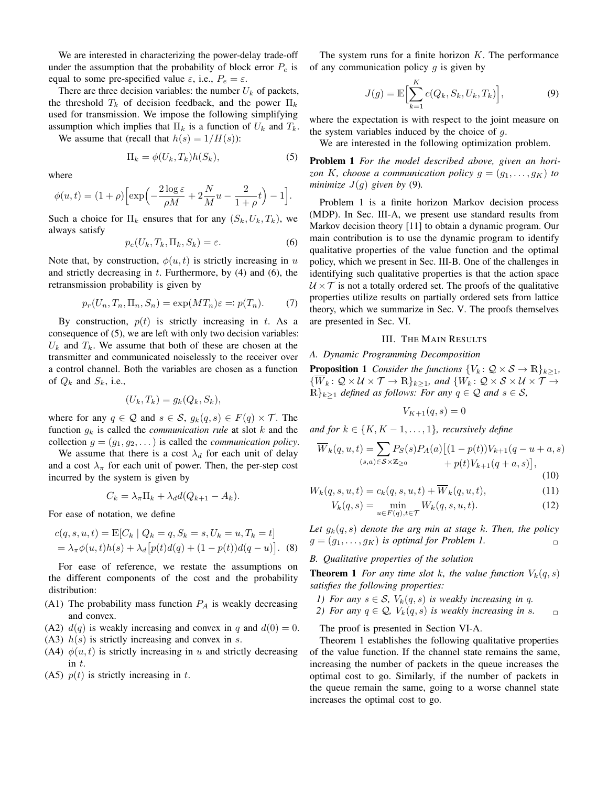We are interested in characterizing the power-delay trade-off under the assumption that the probability of block error  $P_e$  is equal to some pre-specified value  $\varepsilon$ , i.e.,  $P_e = \varepsilon$ .

There are three decision variables: the number  $U_k$  of packets, the threshold  $T_k$  of decision feedback, and the power  $\Pi_k$ used for transmission. We impose the following simplifying assumption which implies that  $\Pi_k$  is a function of  $U_k$  and  $T_k$ .

We assume that (recall that  $h(s) = 1/H(s)$ ):

$$
\Pi_k = \phi(U_k, T_k) h(S_k),\tag{5}
$$

where

$$
\phi(u,t) = (1+\rho)\left[\exp\left(-\frac{2\log\varepsilon}{\rho M} + 2\frac{N}{M}u - \frac{2}{1+\rho}t\right) - 1\right].
$$

Such a choice for  $\Pi_k$  ensures that for any  $(S_k, U_k, T_k)$ , we always satisfy

$$
p_e(U_k, T_k, \Pi_k, S_k) = \varepsilon. \tag{6}
$$

Note that, by construction,  $\phi(u, t)$  is strictly increasing in u and strictly decreasing in  $t$ . Furthermore, by  $(4)$  and  $(6)$ , the retransmission probability is given by

$$
p_r(U_n, T_n, \Pi_n, S_n) = \exp(MT_n)\varepsilon =: p(T_n). \tag{7}
$$

By construction,  $p(t)$  is strictly increasing in t. As a consequence of (5), we are left with only two decision variables:  $U_k$  and  $T_k$ . We assume that both of these are chosen at the transmitter and communicated noiselessly to the receiver over a control channel. Both the variables are chosen as a function of  $Q_k$  and  $S_k$ , i.e.,

$$
(U_k, T_k) = g_k(Q_k, S_k),
$$

where for any  $q \in \mathcal{Q}$  and  $s \in \mathcal{S}$ ,  $g_k(q, s) \in F(q) \times \mathcal{T}$ . The function  $g_k$  is called the *communication rule* at slot  $k$  and the collection  $g = (g_1, g_2, \dots)$  is called the *communication policy*.

We assume that there is a cost  $\lambda_d$  for each unit of delay and a cost  $\lambda_{\pi}$  for each unit of power. Then, the per-step cost incurred by the system is given by

$$
C_k = \lambda_{\pi} \Pi_k + \lambda_d d(Q_{k+1} - A_k).
$$

For ease of notation, we define

$$
c(q, s, u, t) = \mathbb{E}[C_k | Q_k = q, S_k = s, U_k = u, T_k = t]
$$
  
=  $\lambda_{\pi} \phi(u, t)h(s) + \lambda_d[p(t)d(q) + (1 - p(t))d(q - u)].$  (8)

For ease of reference, we restate the assumptions on the different components of the cost and the probability distribution:

- (A1) The probability mass function  $P_A$  is weakly decreasing and convex.
- (A2)  $d(q)$  is weakly increasing and convex in q and  $d(0) = 0$ .
- (A3)  $h(s)$  is strictly increasing and convex in s.
- (A4)  $\phi(u, t)$  is strictly increasing in u and strictly decreasing  $\frac{1}{t}$
- (A5)  $p(t)$  is strictly increasing in t.

The system runs for a finite horizon  $K$ . The performance of any communication policy  $q$  is given by

$$
J(g) = \mathbb{E}\Big[\sum_{k=1}^{K} c(Q_k, S_k, U_k, T_k)\Big],\tag{9}
$$

where the expectation is with respect to the joint measure on the system variables induced by the choice of  $q$ .

We are interested in the following optimization problem.

Problem 1 *For the model described above, given an horizon* K, choose a communication policy  $g = (g_1, \ldots, g_K)$  to *minimize*  $J(g)$  *given by* (9).

Problem 1 is a finite horizon Markov decision process (MDP). In Sec. III-A, we present use standard results from Markov decision theory [11] to obtain a dynamic program. Our main contribution is to use the dynamic program to identify qualitative properties of the value function and the optimal policy, which we present in Sec. III-B. One of the challenges in identifying such qualitative properties is that the action space  $U \times T$  is not a totally ordered set. The proofs of the qualitative properties utilize results on partially ordered sets from lattice theory, which we summarize in Sec. V. The proofs themselves are presented in Sec. VI.

# III. THE MAIN RESULTS

# *A. Dynamic Programming Decomposition*

**Proposition 1** *Consider the functions*  $\{V_k : \mathcal{Q} \times \mathcal{S} \to \mathbb{R}\}_{k \geq 1}$ *,*  $\{\overline{W}_k\colon \mathcal{Q}\times\mathcal{U}\times\mathcal{T}\to\mathbb{R}\}_{k>1}$ *, and*  $\{W_k\colon \mathcal{Q}\times\mathcal{S}\times\mathcal{U}\times\mathcal{T}\to\mathcal{Q}\}$  $\mathbb{R}_{k>1}$  *defined as follows: For any*  $q \in \mathcal{Q}$  *and*  $s \in \mathcal{S}$ *,* 

$$
V_{K+1}(q,s) = 0
$$

and for 
$$
k \in \{K, K-1, \ldots, 1\}
$$
, recursively define

$$
\overline{W}_k(q, u, t) = \sum_{(s,a) \in \mathcal{S} \times \mathbb{Z}_{\geq 0}} P_S(s) P_A(a) \left[ (1 - p(t)) V_{k+1}(q - u + a, s) + p(t) V_{k+1}(q + a, s) \right],
$$
\n(10)

$$
(10)
$$

$$
W_k(q, s, u, t) = c_k(q, s, u, t) + \overline{W}_k(q, u, t),
$$
\n(11)

$$
V_k(q,s) = \min_{u \in F(q), t \in \mathcal{T}} W_k(q,s,u,t). \tag{12}
$$

Let  $g_k(q, s)$  denote the arg min at stage k. Then, the policy  $g = (g_1, \ldots, g_K)$  *is optimal for Problem 1.* 

# *B. Qualitative properties of the solution*

**Theorem 1** *For any time slot k, the value function*  $V_k(q, s)$ *satisfies the following properties:*

- *1)* For any  $s \in S$ ,  $V_k(q, s)$  *is weakly increasing in q.*
- *2) For any*  $q \in \mathcal{Q}$ ,  $V_k(q, s)$  *is weakly increasing in s.*  $\Box$

The proof is presented in Section VI-A.

Theorem 1 establishes the following qualitative properties of the value function. If the channel state remains the same, increasing the number of packets in the queue increases the optimal cost to go. Similarly, if the number of packets in the queue remain the same, going to a worse channel state increases the optimal cost to go.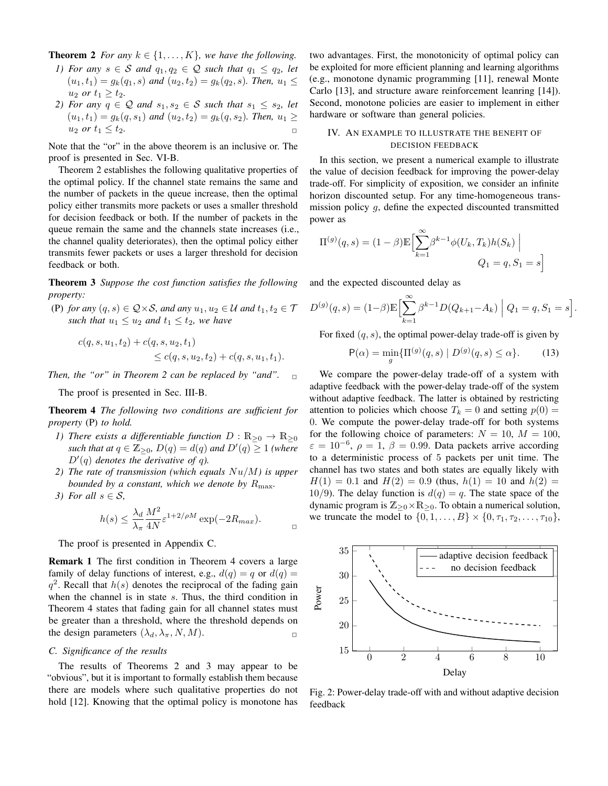**Theorem 2** *For any*  $k \in \{1, \ldots, K\}$ *, we have the following.* 

- *1) For any*  $s \in S$  *and*  $q_1, q_2 \in Q$  *such that*  $q_1 \leq q_2$ , *let*  $(u_1, t_1) = g_k(q_1, s)$  *and*  $(u_2, t_2) = g_k(q_2, s)$ *. Then,*  $u_1 \leq$ *u*<sub>2</sub> *or*  $t_1 \geq t_2$ *.*
- *2) For any*  $q \in \mathcal{Q}$  *and*  $s_1, s_2 \in \mathcal{S}$  *such that*  $s_1 \leq s_2$ *, let*  $(u_1, t_1) = g_k(q, s_1)$  *and*  $(u_2, t_2) = g_k(q, s_2)$ *. Then,*  $u_1 \geq$  $u_2$  *or*  $t_1 \le t_2$ .

Note that the "or" in the above theorem is an inclusive or. The proof is presented in Sec. VI-B.

Theorem 2 establishes the following qualitative properties of the optimal policy. If the channel state remains the same and the number of packets in the queue increase, then the optimal policy either transmits more packets or uses a smaller threshold for decision feedback or both. If the number of packets in the queue remain the same and the channels state increases (i.e., the channel quality deteriorates), then the optimal policy either transmits fewer packets or uses a larger threshold for decision feedback or both.

Theorem 3 *Suppose the cost function satisfies the following property:*

(P) for any  $(q, s) \in Q \times S$ , and any  $u_1, u_2 \in U$  and  $t_1, t_2 \in T$ *such that*  $u_1 \leq u_2$  *and*  $t_1 \leq t_2$ *, we have* 

$$
c(q, s, u_1, t_2) + c(q, s, u_2, t_1)
$$
  
\$\leq c(q, s, u\_2, t\_2) + c(q, s, u\_1, t\_1)\$.

*Then, the "or" in Theorem 2 can be replaced by "and".* 

The proof is presented in Sec. III-B.

Theorem 4 *The following two conditions are sufficient for property* (P) *to hold.*

- *1) There exists a differentiable function*  $D : \mathbb{R}_{\geq 0} \to \mathbb{R}_{\geq 0}$ *such that at*  $q \in \mathbb{Z}_{\geq 0}$ ,  $D(q) = d(q)$  and  $D'(q) \geq 1$  (where  $D'(q)$  denotes the derivative of q).
- *2) The rate of transmission (which equals* Nu/M*) is upper bounded by a constant, which we denote by*  $R_{\text{max}}$ .
- *3) For all*  $s \in S$ *,*

$$
h(s) \le \frac{\lambda_d}{\lambda_{\pi}} \frac{M^2}{4N} \varepsilon^{1+2/\rho M} \exp(-2R_{max}).
$$

 $\Box$ 

The proof is presented in Appendix C.

Remark 1 The first condition in Theorem 4 covers a large family of delay functions of interest, e.g.,  $d(q) = q$  or  $d(q) =$  $q^2$ . Recall that  $h(s)$  denotes the reciprocal of the fading gain when the channel is in state s. Thus, the third condition in Theorem 4 states that fading gain for all channel states must be greater than a threshold, where the threshold depends on the design parameters  $(\lambda_d, \lambda_\pi, N, M)$ .

## *C. Significance of the results*

The results of Theorems 2 and 3 may appear to be "obvious", but it is important to formally establish them because there are models where such qualitative properties do not hold [12]. Knowing that the optimal policy is monotone has two advantages. First, the monotonicity of optimal policy can be exploited for more efficient planning and learning algorithms (e.g., monotone dynamic programming [11], renewal Monte Carlo [13], and structure aware reinforcement leanring [14]). Second, monotone policies are easier to implement in either hardware or software than general policies.

# IV. AN EXAMPLE TO ILLUSTRATE THE BENEFIT OF DECISION FEEDBACK

In this section, we present a numerical example to illustrate the value of decision feedback for improving the power-delay trade-off. For simplicity of exposition, we consider an infinite horizon discounted setup. For any time-homogeneous transmission policy  $g$ , define the expected discounted transmitted power as

$$
\Pi^{(g)}(q,s) = (1-\beta) \mathbb{E} \Big[ \sum_{k=1}^{\infty} \beta^{k-1} \phi(U_k, T_k) h(S_k) \Big]
$$
  

$$
Q_1 = q, S_1 = s \Big]
$$

and the expected discounted delay as

$$
D^{(g)}(q,s) = (1-\beta) \mathbb{E} \Big[ \sum_{k=1}^{\infty} \beta^{k-1} D(Q_{k+1} - A_k) \Big| Q_1 = q, S_1 = s \Big].
$$

For fixed  $(q, s)$ , the optimal power-delay trade-off is given by

$$
P(\alpha) = \min_{g} \{ \Pi^{(g)}(q, s) \mid D^{(g)}(q, s) \le \alpha \}. \tag{13}
$$

We compare the power-delay trade-off of a system with adaptive feedback with the power-delay trade-off of the system without adaptive feedback. The latter is obtained by restricting attention to policies which choose  $T_k = 0$  and setting  $p(0) =$ 0. We compute the power-delay trade-off for both systems for the following choice of parameters:  $N = 10$ ,  $M = 100$ ,  $\varepsilon = 10^{-6}$ ,  $\rho = 1$ ,  $\beta = 0.99$ . Data packets arrive according to a deterministic process of 5 packets per unit time. The channel has two states and both states are equally likely with  $H(1) = 0.1$  and  $H(2) = 0.9$  (thus,  $h(1) = 10$  and  $h(2) =$ 10/9). The delay function is  $d(q) = q$ . The state space of the dynamic program is  $\mathbb{Z}_{\geq 0} \times \mathbb{R}_{\geq 0}$ . To obtain a numerical solution, we truncate the model to  $\{0, 1, ..., B\} \times \{0, \tau_1, \tau_2, ..., \tau_{10}\},$ 



Fig. 2: Power-delay trade-off with and without adaptive decision feedback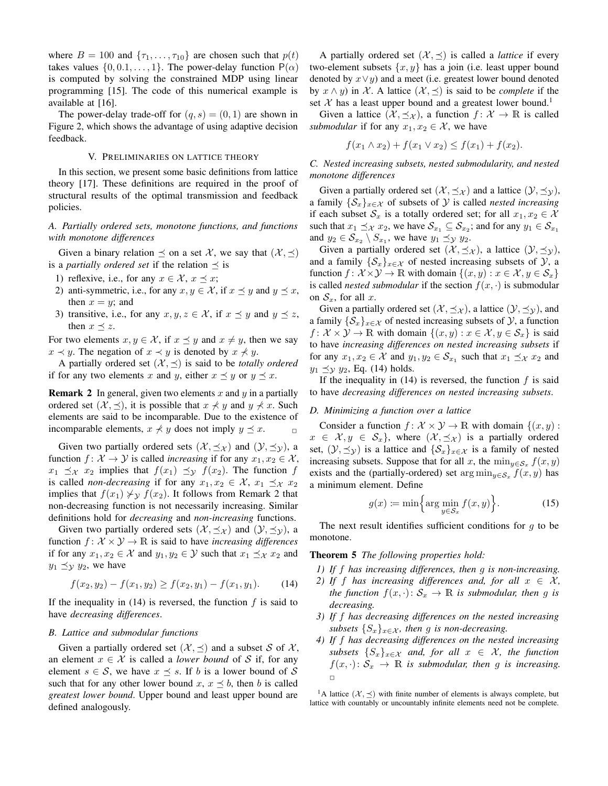where  $B = 100$  and  $\{\tau_1, \ldots, \tau_{10}\}$  are chosen such that  $p(t)$ takes values  $\{0, 0.1, \ldots, 1\}$ . The power-delay function  $P(\alpha)$ is computed by solving the constrained MDP using linear programming [15]. The code of this numerical example is available at [16].

The power-delay trade-off for  $(q, s) = (0, 1)$  are shown in Figure 2, which shows the advantage of using adaptive decision feedback.

## V. PRELIMINARIES ON LATTICE THEORY

In this section, we present some basic definitions from lattice theory [17]. These definitions are required in the proof of structural results of the optimal transmission and feedback policies.

# *A. Partially ordered sets, monotone functions, and functions with monotone differences*

Given a binary relation  $\preceq$  on a set X, we say that  $(\mathcal{X}, \preceq)$ is a *partially ordered set* if the relation  $\prec$  is

- 1) reflexive, i.e., for any  $x \in \mathcal{X}, x \leq x$ ;
- 2) anti-symmetric, i.e., for any  $x, y \in \mathcal{X}$ , if  $x \preceq y$  and  $y \preceq x$ , then  $x = y$ ; and
- 3) transitive, i.e., for any  $x, y, z \in \mathcal{X}$ , if  $x \preceq y$  and  $y \preceq z$ , then  $x \prec z$ .

For two elements  $x, y \in \mathcal{X}$ , if  $x \preceq y$  and  $x \neq y$ , then we say  $x \prec y$ . The negation of  $x \prec y$  is denoted by  $x \not\prec y$ .

A partially ordered set  $(X, \leq)$  is said to be *totally ordered* if for any two elements x and y, either  $x \preceq y$  or  $y \preceq x$ .

**Remark 2** In general, given two elements  $x$  and  $y$  in a partially ordered set  $(X, \preceq)$ , it is possible that  $x \nless y$  and  $y \nless x$ . Such elements are said to be incomparable. Due to the existence of incomparable elements,  $x \nless y$  does not imply  $y \preceq x$ .

Given two partially ordered sets  $(\mathcal{X}, \preceq_{\mathcal{X}})$  and  $(\mathcal{Y}, \preceq_{\mathcal{Y}})$ , a function  $f: \mathcal{X} \to \mathcal{Y}$  is called *increasing* if for any  $x_1, x_2 \in \mathcal{X}$ ,  $x_1 \preceq_x x_2$  implies that  $f(x_1) \preceq_y f(x_2)$ . The function f is called *non-decreasing* if for any  $x_1, x_2 \in \mathcal{X}$ ,  $x_1 \preceq_{\mathcal{X}} x_2$ implies that  $f(x_1) \nless y f(x_2)$ . It follows from Remark 2 that non-decreasing function is not necessarily increasing. Similar definitions hold for *decreasing* and *non-increasing* functions.

Given two partially ordered sets  $(\mathcal{X}, \preceq_{\mathcal{X}})$  and  $(\mathcal{Y}, \preceq_{\mathcal{Y}})$ , a function  $f: \mathcal{X} \times \mathcal{Y} \rightarrow \mathbb{R}$  is said to have *increasing differences* if for any  $x_1, x_2 \in \mathcal{X}$  and  $y_1, y_2 \in \mathcal{Y}$  such that  $x_1 \preceq_{\mathcal{X}} x_2$  and  $y_1 \preceq y_2$ , we have

$$
f(x_2, y_2) - f(x_1, y_2) \ge f(x_2, y_1) - f(x_1, y_1). \tag{14}
$$

If the inequality in  $(14)$  is reversed, the function f is said to have *decreasing differences*.

#### *B. Lattice and submodular functions*

Given a partially ordered set  $(\mathcal{X}, \preceq)$  and a subset S of X, an element  $x \in \mathcal{X}$  is called a *lower bound* of S if, for any element  $s \in S$ , we have  $x \preceq s$ . If b is a lower bound of S such that for any other lower bound x,  $x \preceq b$ , then b is called *greatest lower bound*. Upper bound and least upper bound are defined analogously.

A partially ordered set  $(X, \leq)$  is called a *lattice* if every two-element subsets  $\{x, y\}$  has a join (i.e. least upper bound denoted by  $x \vee y$ ) and a meet (i.e. greatest lower bound denoted by  $x \wedge y$  in X. A lattice  $(X, \preceq)$  is said to be *complete* if the set X has a least upper bound and a greatest lower bound.<sup>1</sup>

Given a lattice  $(\mathcal{X}, \preceq_{\mathcal{X}})$ , a function  $f : \mathcal{X} \to \mathbb{R}$  is called *submodular* if for any  $x_1, x_2 \in \mathcal{X}$ , we have

$$
f(x_1 \wedge x_2) + f(x_1 \vee x_2) \le f(x_1) + f(x_2).
$$

*C. Nested increasing subsets, nested submodularity, and nested monotone differences*

Given a partially ordered set  $(\mathcal{X}, \preceq_{\mathcal{X}})$  and a lattice  $(\mathcal{Y}, \preceq_{\mathcal{Y}})$ , a family  $\{S_x\}_{x \in \mathcal{X}}$  of subsets of  $\mathcal Y$  is called *nested increasing* if each subset  $\mathcal{S}_x$  is a totally ordered set; for all  $x_1, x_2 \in \mathcal{X}$ such that  $x_1 \preceq_{\mathcal{X}} x_2$ , we have  $\mathcal{S}_{x_1} \subseteq \mathcal{S}_{x_2}$ ; and for any  $y_1 \in \mathcal{S}_{x_1}$ and  $y_2 \in S_{x_2} \setminus S_{x_1}$ , we have  $y_1 \preceq_{\mathcal{Y}} y_2$ .

Given a partially ordered set  $(\mathcal{X}, \preceq_{\mathcal{X}})$ , a lattice  $(\mathcal{Y}, \preceq_{\mathcal{Y}})$ , and a family  $\{\mathcal{S}_x\}_{x \in \mathcal{X}}$  of nested increasing subsets of  $\mathcal{Y}$ , a function  $f: \mathcal{X} \times \mathcal{Y} \to \mathbb{R}$  with domain  $\{(x, y) : x \in \mathcal{X}, y \in \mathcal{S}_x\}$ is called *nested submodular* if the section  $f(x, \cdot)$  is submodular on  $S_x$ , for all x.

Given a partially ordered set  $(\mathcal{X}, \preceq_{\mathcal{X}})$ , a lattice  $(\mathcal{Y}, \preceq_{\mathcal{Y}})$ , and a family  $\{\mathcal{S}_x\}_{x \in \mathcal{X}}$  of nested increasing subsets of  $\mathcal{Y}$ , a function  $f: \mathcal{X} \times \mathcal{Y} \to \mathbb{R}$  with domain  $\{(x, y) : x \in \mathcal{X}, y \in \mathcal{S}_x\}$  is said to have *increasing differences on nested increasing subsets* if for any  $x_1, x_2 \in \mathcal{X}$  and  $y_1, y_2 \in \mathcal{S}_{x_1}$  such that  $x_1 \preceq_{\mathcal{X}} x_2$  and  $y_1 \preceq y_2$ , Eq. (14) holds.

If the inequality in  $(14)$  is reversed, the function f is said to have *decreasing differences on nested increasing subsets*.

#### *D. Minimizing a function over a lattice*

Consider a function  $f: \mathcal{X} \times \mathcal{Y} \to \mathbb{R}$  with domain  $\{(x, y) :$  $x \in \mathcal{X}, y \in \mathcal{S}_x$ , where  $(\mathcal{X}, \preceq_{\mathcal{X}})$  is a partially ordered set,  $(\mathcal{Y}, \preceq_{\mathcal{Y}})$  is a lattice and  $\{\mathcal{S}_x\}_{x \in \mathcal{X}}$  is a family of nested increasing subsets. Suppose that for all x, the  $\min_{y \in S_x} f(x, y)$ exists and the (partially-ordered) set  $\arg \min_{y \in S_x} f(x, y)$  has a minimum element. Define

$$
g(x) := \min\left\{\arg\min_{y \in S_x} f(x, y)\right\}.
$$
 (15)

The next result identifies sufficient conditions for  $q$  to be monotone.

Theorem 5 *The following properties hold:*

- *1) If* f *has increasing differences, then* g *is non-increasing.*
- *2)* If f has increasing differences and, for all  $x \in \mathcal{X}$ , *the function*  $f(x, \cdot): \mathcal{S}_x \to \mathbb{R}$  *is submodular, then* g *is decreasing.*
- *3) If* f *has decreasing differences on the nested increasing subsets*  $\{S_x\}_{x \in \mathcal{X}}$ *, then g is non-decreasing.*
- *4) If* f *has decreasing differences on the nested increasing subsets*  $\{S_x\}_{x \in \mathcal{X}}$  *and, for all*  $x \in \mathcal{X}$ *, the function*  $f(x, \cdot): \mathcal{S}_x \to \mathbb{R}$  *is submodular, then* g *is increasing.*  $\Box$

<sup>1</sup>A lattice  $(X, \leq)$  with finite number of elements is always complete, but lattice with countably or uncountably infinite elements need not be complete.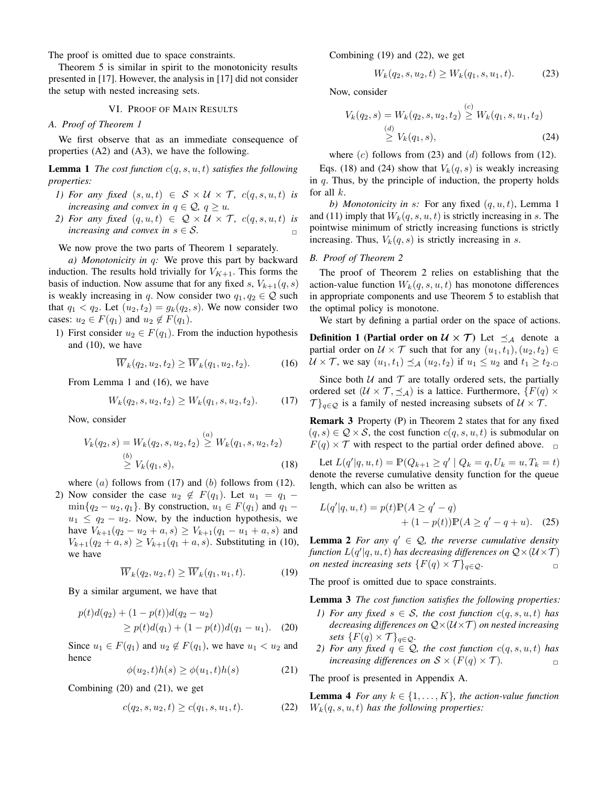The proof is omitted due to space constraints.

Theorem 5 is similar in spirit to the monotonicity results presented in [17]. However, the analysis in [17] did not consider the setup with nested increasing sets.

## VI. PROOF OF MAIN RESULTS

# *A. Proof of Theorem 1*

We first observe that as an immediate consequence of properties (A2) and (A3), we have the following.

**Lemma 1** *The cost function*  $c(q, s, u, t)$  *satisfies the following properties:*

- *1)* For any fixed  $(s, u, t) \in S \times U \times T$ ,  $c(q, s, u, t)$  is *increasing and convex in*  $q \in \mathcal{Q}$ ,  $q \ge u$ .
- *2)* For any fixed  $(q, u, t) \in \mathcal{Q} \times \mathcal{U} \times \mathcal{T}$ ,  $c(q, s, u, t)$  is *increasing and convex in*  $s \in S$ .

We now prove the two parts of Theorem 1 separately.

*a) Monotonicity in* q*:* We prove this part by backward induction. The results hold trivially for  $V_{K+1}$ . This forms the basis of induction. Now assume that for any fixed s,  $V_{k+1}(q, s)$ is weakly increasing in q. Now consider two  $q_1, q_2 \in \mathcal{Q}$  such that  $q_1 < q_2$ . Let  $(u_2, t_2) = g_k(q_2, s)$ . We now consider two cases:  $u_2 \in F(q_1)$  and  $u_2 \notin F(q_1)$ .

1) First consider  $u_2 \in F(q_1)$ . From the induction hypothesis and (10), we have

$$
\overline{W}_k(q_2, u_2, t_2) \ge \overline{W}_k(q_1, u_2, t_2). \tag{16}
$$

From Lemma 1 and (16), we have

$$
W_k(q_2, s, u_2, t_2) \ge W_k(q_1, s, u_2, t_2). \tag{17}
$$

Now, consider

$$
V_k(q_2, s) = W_k(q_2, s, u_2, t_2) \overset{(a)}{\geq} W_k(q_1, s, u_2, t_2)
$$
  
\n
$$
\overset{(b)}{\geq} V_k(q_1, s),
$$
\n(18)

where  $(a)$  follows from (17) and  $(b)$  follows from (12). 2) Now consider the case  $u_2 \notin F(q_1)$ . Let  $u_1 = q_1 \min\{q_2 - u_2, q_1\}$ . By construction,  $u_1 \in F(q_1)$  and  $q_1$  –  $u_1 \leq q_2 - u_2$ . Now, by the induction hypothesis, we have  $V_{k+1}(q_2 - u_2 + a, s) \geq V_{k+1}(q_1 - u_1 + a, s)$  and  $V_{k+1}(q_2 + a, s) \geq V_{k+1}(q_1 + a, s)$ . Substituting in (10), we have

$$
\overline{W}_k(q_2, u_2, t) \ge \overline{W}_k(q_1, u_1, t). \tag{19}
$$

By a similar argument, we have that

$$
p(t)d(q_2) + (1 - p(t))d(q_2 - u_2)
$$
  
\n
$$
\geq p(t)d(q_1) + (1 - p(t))d(q_1 - u_1).
$$
 (20)

Since  $u_1 \in F(q_1)$  and  $u_2 \notin F(q_1)$ , we have  $u_1 < u_2$  and hence

$$
\phi(u_2, t)h(s) \ge \phi(u_1, t)h(s) \tag{21}
$$

Combining (20) and (21), we get

$$
c(q_2, s, u_2, t) \ge c(q_1, s, u_1, t). \tag{22}
$$

Combining (19) and (22), we get

$$
W_k(q_2, s, u_2, t) \ge W_k(q_1, s, u_1, t). \tag{23}
$$

Now, consider

$$
V_k(q_2, s) = W_k(q_2, s, u_2, t_2) \overset{(c)}{\geq} W_k(q_1, s, u_1, t_2)
$$
  

$$
\overset{(d)}{\geq} V_k(q_1, s),
$$
 (24)

where  $(c)$  follows from  $(23)$  and  $(d)$  follows from  $(12)$ .

Eqs. (18) and (24) show that  $V_k(q, s)$  is weakly increasing in  $q$ . Thus, by the principle of induction, the property holds for all  $k$ .

*b) Monotonicity in s:* For any fixed  $(q, u, t)$ , Lemma 1 and (11) imply that  $W_k(q, s, u, t)$  is strictly increasing in s. The pointwise minimum of strictly increasing functions is strictly increasing. Thus,  $V_k(q, s)$  is strictly increasing in s.

#### *B. Proof of Theorem 2*

The proof of Theorem 2 relies on establishing that the action-value function  $W_k(q, s, u, t)$  has monotone differences in appropriate components and use Theorem 5 to establish that the optimal policy is monotone.

We start by defining a partial order on the space of actions.

**Definition 1 (Partial order on**  $\mathcal{U} \times \mathcal{T}$ **)** Let  $\preceq_{\mathcal{A}}$  denote a partial order on  $U \times \mathcal{T}$  such that for any  $(u_1, t_1), (u_2, t_2) \in$  $U \times \mathcal{T}$ , we say  $(u_1, t_1) \preceq_{\mathcal{A}} (u_2, t_2)$  if  $u_1 \leq u_2$  and  $t_1 \geq t_2$ .

Since both  $U$  and  $T$  are totally ordered sets, the partially ordered set  $(U \times T, \preceq_A)$  is a lattice. Furthermore,  $\{F(q) \times F(q) \}$  $\mathcal{T}\}_{q\in\mathcal{Q}}$  is a family of nested increasing subsets of  $\mathcal{U}\times\mathcal{T}$ .

Remark 3 Property (P) in Theorem 2 states that for any fixed  $(q, s) \in \mathcal{Q} \times \mathcal{S}$ , the cost function  $c(q, s, u, t)$  is submodular on  $F(q) \times \mathcal{T}$  with respect to the partial order defined above.  $\Box$ 

Let  $L(q' | q, u, t) = \mathbb{P}(Q_{k+1} \ge q' | Q_k = q, U_k = u, T_k = t)$ denote the reverse cumulative density function for the queue length, which can also be written as

$$
L(q'|q, u, t) = p(t)\mathbb{P}(A \ge q' - q)
$$
  
+ (1 - p(t))\mathbb{P}(A \ge q' - q + u). (25)

**Lemma 2** For any  $q' \in \mathcal{Q}$ , the reverse cumulative density function  $L(q' | q, u, t)$  has decreasing differences on  $\mathcal{Q} \times (U \times \mathcal{T})$ *on nested increasing sets*  $\{F(q) \times \mathcal{T}\}_{q \in \mathcal{Q}}$ .

The proof is omitted due to space constraints.

Lemma 3 *The cost function satisfies the following properties:*

- *1)* For any fixed  $s \in S$ , the cost function  $c(q, s, u, t)$  has *decreasing differences on* Q×(U×T ) *on nested increasing sets*  $\{F(q) \times \mathcal{T}\}_{q \in \mathcal{Q}}$ *.*
- *2)* For any fixed  $q \in \mathcal{Q}$ , the cost function  $c(q, s, u, t)$  has *increasing differences on*  $S \times (F(q) \times T)$ *.*

The proof is presented in Appendix A.

**Lemma 4** *For any*  $k \in \{1, \ldots, K\}$ *, the action-value function*  $W_k(q, s, u, t)$  has the following properties: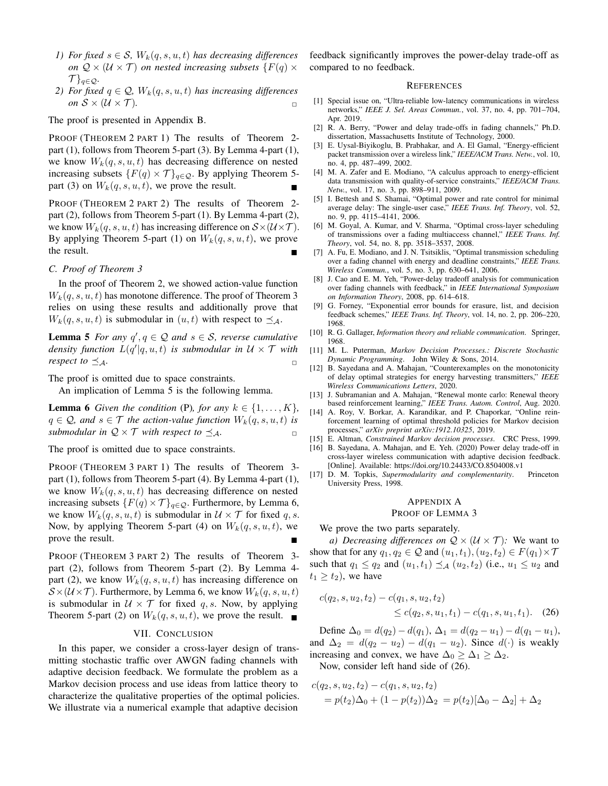- *1) For fixed*  $s \in S$ *,*  $W_k(q, s, u, t)$  *has decreasing differences on*  $Q \times (U \times T)$  *on nested increasing subsets*  $\{F(q) \times F(q) \}$  $\{\mathcal{T}\}_{q\in\mathcal{Q}}$ .
- *2) For fixed*  $q \in \mathcal{Q}$ ,  $W_k(q, s, u, t)$  *has increasing differences on*  $S \times (U \times T)$ .

The proof is presented in Appendix B.

PROOF (THEOREM 2 PART 1) The results of Theorem 2 part (1), follows from Theorem 5-part (3). By Lemma 4-part (1), we know  $W_k(q, s, u, t)$  has decreasing difference on nested increasing subsets  $\{F(q) \times \mathcal{T}\}_{q \in \mathcal{Q}}$ . By applying Theorem 5part (3) on  $W_k(q, s, u, t)$ , we prove the result.

PROOF (THEOREM 2 PART 2) The results of Theorem 2 part (2), follows from Theorem 5-part (1). By Lemma 4-part (2), we know  $W_k(q, s, u, t)$  has increasing difference on  $S \times (\mathcal{U} \times \mathcal{T})$ . By applying Theorem 5-part (1) on  $W_k(q, s, u, t)$ , we prove the result.

## *C. Proof of Theorem 3*

In the proof of Theorem 2, we showed action-value function  $W_k(q, s, u, t)$  has monotone difference. The proof of Theorem 3 relies on using these results and additionally prove that  $W_k(q, s, u, t)$  is submodular in  $(u, t)$  with respect to  $\preceq_A$ .

**Lemma 5** For any  $q'$ ,  $q \in \mathcal{Q}$  and  $s \in \mathcal{S}$ , reverse cumulative density function  $L(q' | q, u, t)$  is submodular in  $\mathcal{U} \times \mathcal{T}$  with *respect to*  $\preceq_{\mathcal{A}}$ *.* 

The proof is omitted due to space constraints.

An implication of Lemma 5 is the following lemma.

**Lemma 6** *Given the condition* (P), for any  $k \in \{1, \ldots, K\}$ ,  $q \in \mathcal{Q}$ , and  $s \in \mathcal{T}$  the action-value function  $W_k(q, s, u, t)$  is *submodular in*  $Q \times T$  *with respect to*  $\preceq_A$ .

The proof is omitted due to space constraints.

PROOF (THEOREM 3 PART 1) The results of Theorem 3 part (1), follows from Theorem 5-part (4). By Lemma 4-part (1), we know  $W_k(q, s, u, t)$  has decreasing difference on nested increasing subsets  $\{F(q) \times \mathcal{T}\}_{q \in \mathcal{Q}}$ . Furthermore, by Lemma 6, we know  $W_k(q, s, u, t)$  is submodular in  $\mathcal{U} \times \mathcal{T}$  for fixed q, s. Now, by applying Theorem 5-part (4) on  $W_k(q, s, u, t)$ , we prove the result.

PROOF (THEOREM 3 PART 2) The results of Theorem 3 part (2), follows from Theorem 5-part (2). By Lemma 4 part (2), we know  $W_k(q, s, u, t)$  has increasing difference on  $S \times (U \times T)$ . Furthermore, by Lemma 6, we know  $W_k(q, s, u, t)$ is submodular in  $U \times T$  for fixed q, s. Now, by applying Theorem 5-part (2) on  $W_k(q, s, u, t)$ , we prove the result.

# VII. CONCLUSION

In this paper, we consider a cross-layer design of transmitting stochastic traffic over AWGN fading channels with adaptive decision feedback. We formulate the problem as a Markov decision process and use ideas from lattice theory to characterize the qualitative properties of the optimal policies. We illustrate via a numerical example that adaptive decision

feedback significantly improves the power-delay trade-off as compared to no feedback.

#### **REFERENCES**

- [1] Special issue on, "Ultra-reliable low-latency communications in wireless networks," *IEEE J. Sel. Areas Commun.*, vol. 37, no. 4, pp. 701–704, Apr. 2019.
- [2] R. A. Berry, "Power and delay trade-offs in fading channels," Ph.D. dissertation, Massachusetts Institute of Technology, 2000.
- [3] E. Uysal-Biyikoglu, B. Prabhakar, and A. El Gamal, "Energy-efficient packet transmission over a wireless link," *IEEE/ACM Trans. Netw.*, vol. 10, no. 4, pp. 487–499, 2002.
- [4] M. A. Zafer and E. Modiano, "A calculus approach to energy-efficient data transmission with quality-of-service constraints," *IEEE/ACM Trans. Netw.*, vol. 17, no. 3, pp. 898–911, 2009.
- [5] I. Bettesh and S. Shamai, "Optimal power and rate control for minimal average delay: The single-user case," *IEEE Trans. Inf. Theory*, vol. 52, no. 9, pp. 4115–4141, 2006.
- [6] M. Goyal, A. Kumar, and V. Sharma, "Optimal cross-layer scheduling of transmissions over a fading multiaccess channel," *IEEE Trans. Inf. Theory*, vol. 54, no. 8, pp. 3518–3537, 2008.
- [7] A. Fu, E. Modiano, and  $\hat{J}$ . N. Tsitsiklis, "Optimal transmission scheduling over a fading channel with energy and deadline constraints," *IEEE Trans. Wireless Commun.*, vol. 5, no. 3, pp. 630–641, 2006.
- [8] J. Cao and E. M. Yeh, "Power-delay tradeoff analysis for communication over fading channels with feedback," in *IEEE International Symposium on Information Theory*, 2008, pp. 614–618.
- [9] G. Forney, "Exponential error bounds for erasure, list, and decision feedback schemes," *IEEE Trans. Inf. Theory*, vol. 14, no. 2, pp. 206–220, 1968.
- [10] R. G. Gallager, *Information theory and reliable communication*. Springer, 1968.
- [11] M. L. Puterman, *Markov Decision Processes.: Discrete Stochastic Dynamic Programming*. John Wiley & Sons, 2014.
- [12] B. Sayedana and A. Mahajan, "Counterexamples on the monotonicity of delay optimal strategies for energy harvesting transmitters," *IEEE Wireless Communications Letters*, 2020.
- [13] J. Subramanian and A. Mahajan, "Renewal monte carlo: Renewal theory based reinforcement learning," *IEEE Trans. Autom. Control*, Aug. 2020.
- [14] A. Roy, V. Borkar, A. Karandikar, and P. Chaporkar, "Online reinforcement learning of optimal threshold policies for Markov decision processes," *arXiv preprint arXiv:1912.10325*, 2019.
- [15] E. Altman, *Constrained Markov decision processes*. CRC Press, 1999.
- [16] B. Sayedana, A. Mahajan, and E. Yeh. (2020) Power delay trade-off in cross-layer wireless communication with adaptive decision feedback. [Online]. Available: https://doi.org/10.24433/CO.8504008.v1
- [17] D. M. Topkis, *Supermodularity and complementarity*. Princeton University Press, 1998.

#### APPENDIX A

# PROOF OF LEMMA 3

We prove the two parts separately.

*a) Decreasing differences on*  $Q \times (U \times T)$ *:* We want to show that for any  $q_1, q_2 \in \mathcal{Q}$  and  $(u_1, t_1), (u_2, t_2) \in F(q_1) \times \mathcal{T}$ such that  $q_1 \leq q_2$  and  $(u_1, t_1) \preceq_{\mathcal{A}} (u_2, t_2)$  (i.e.,  $u_1 \leq u_2$  and  $t_1 \geq t_2$ , we have

$$
c(q_2, s, u_2, t_2) - c(q_1, s, u_2, t_2)
$$
  
 
$$
\leq c(q_2, s, u_1, t_1) - c(q_1, s, u_1, t_1). \quad (26)
$$

Define  $\Delta_0 = d(q_2) - d(q_1)$ ,  $\Delta_1 = d(q_2 - u_1) - d(q_1 - u_1)$ , and  $\Delta_2 = d(q_2 - u_2) - d(q_1 - u_2)$ . Since  $d(\cdot)$  is weakly increasing and convex, we have  $\Delta_0 \geq \Delta_1 \geq \Delta_2$ .

Now, consider left hand side of (26).

$$
c(q_2, s, u_2, t_2) - c(q_1, s, u_2, t_2)
$$
  
=  $p(t_2)\Delta_0 + (1 - p(t_2))\Delta_2 = p(t_2)[\Delta_0 - \Delta_2] + \Delta_2$